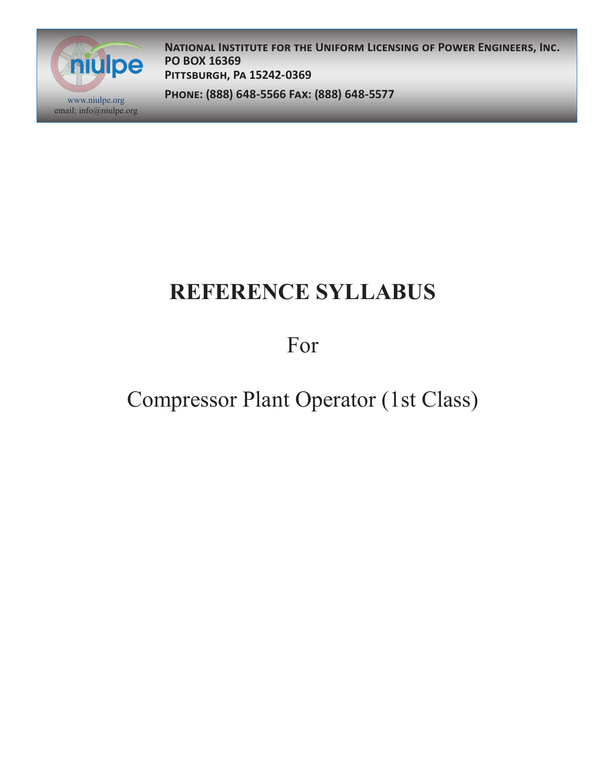

**National Institute for the Uniform Licensing of Power Engineers, Inc. PO BOX 16369 Pittsburgh, Pa 15242-0369**

**Phone: (888) 648-5566 Fax: (888) 648-5577** www.niulpe.org

# **REFERENCE SYLLABUS**

For

### Compressor Plant Operator (1st Class)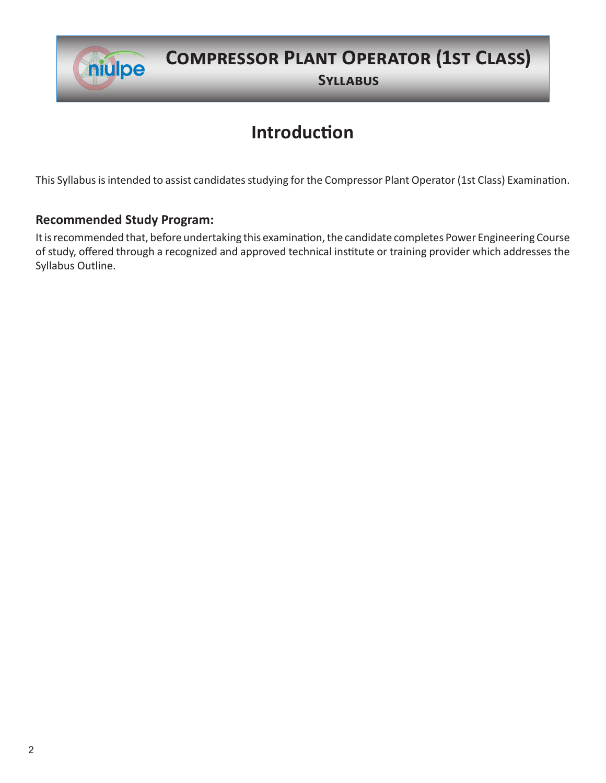

#### **Compressor Plant Operator (1st Class)**

**Syllabus**

### **Introduction**

This Syllabus is intended to assist candidates studying for the Compressor Plant Operator (1st Class) Examination.

#### **Recommended Study Program:**

It is recommended that, before undertaking this examination, the candidate completes Power Engineering Course of study, offered through a recognized and approved technical institute or training provider which addresses the Syllabus Outline.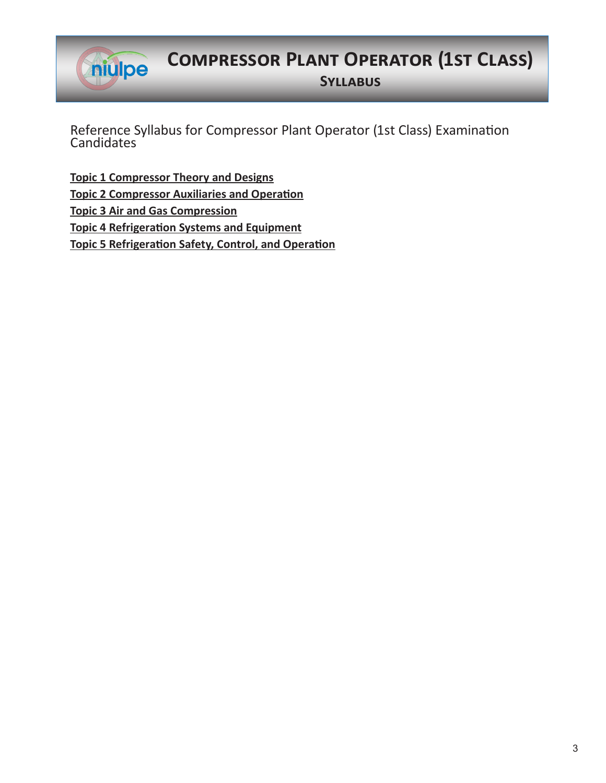

### **Compressor Plant Operator (1st Class)**

**Syllabus**

Reference Syllabus for Compressor Plant Operator (1st Class) Examination **Candidates** 

**Topic 1 Compressor Theory and Designs Topic 2 Compressor Auxiliaries and Operation Topic 3 Air and Gas Compression Topic 4 Refrigeration Systems and Equipment Topic 5 Refrigeration Safety, Control, and Operation**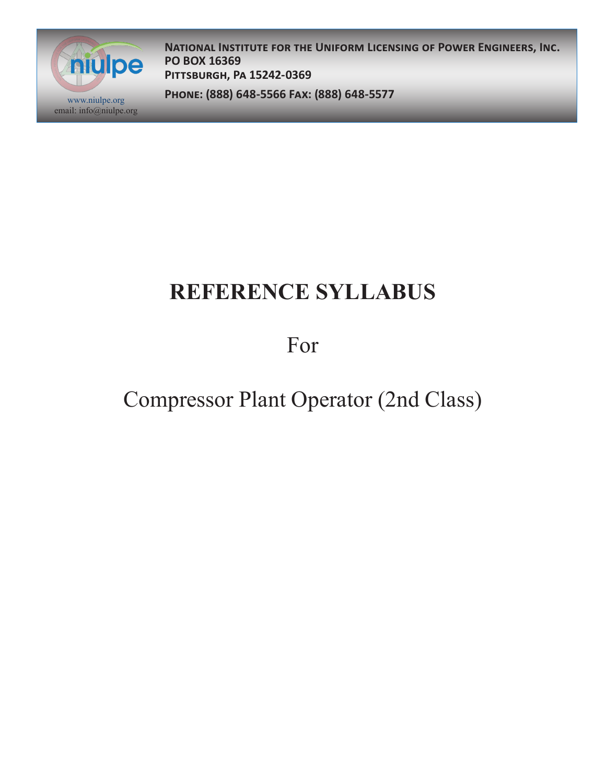

**National Institute for the Uniform Licensing of Power Engineers, Inc. PO BOX 16369 Pittsburgh, Pa 15242-0369**

**Phone: (888) 648-5566 Fax: (888) 648-5577** www.niulpe.org

## **REFERENCE SYLLABUS**

For

### Compressor Plant Operator (2nd Class)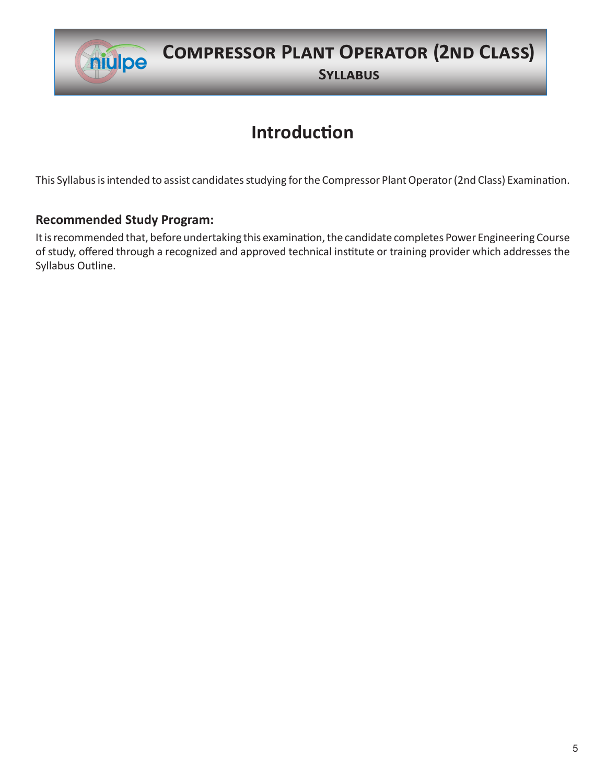

# **Compressor Plant Operator (2nd Class)**

**Syllabus**

#### **Introduction**

This Syllabus is intended to assist candidates studying for the Compressor Plant Operator (2nd Class) Examination.

#### **Recommended Study Program:**

It is recommended that, before undertaking this examination, the candidate completes Power Engineering Course of study, offered through a recognized and approved technical institute or training provider which addresses the Syllabus Outline.